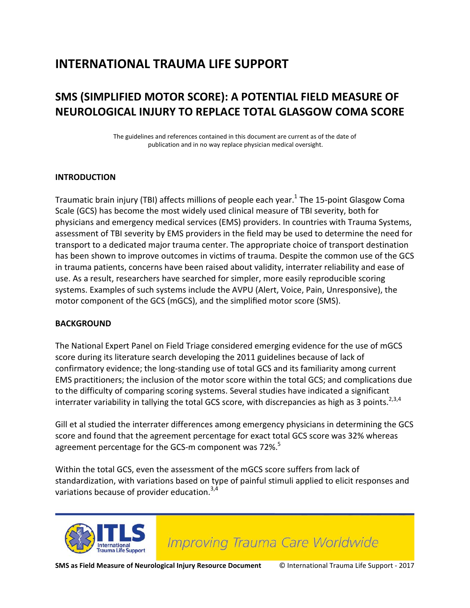# **INTERNATIONAL TRAUMA LIFE SUPPORT**

# **SMS (SIMPLIFIED MOTOR SCORE): A POTENTIAL FIELD MEASURE OF NEUROLOGICAL INJURY TO REPLACE TOTAL GLASGOW COMA SCORE**

The guidelines and references contained in this document are current as of the date of publication and in no way replace physician medical oversight.

## **INTRODUCTION**

Traumatic brain injury (TBI) affects millions of people each year.<sup>1</sup> The 15-point Glasgow Coma Scale (GCS) has become the most widely used clinical measure of TBI severity, both for physicians and emergency medical services (EMS) providers. In countries with Trauma Systems, assessment of TBI severity by EMS providers in the field may be used to determine the need for transport to a dedicated major trauma center. The appropriate choice of transport destination has been shown to improve outcomes in victims of trauma. Despite the common use of the GCS in trauma patients, concerns have been raised about validity, interrater reliability and ease of use. As a result, researchers have searched for simpler, more easily reproducible scoring systems. Examples of such systems include the AVPU (Alert, Voice, Pain, Unresponsive), the motor component of the GCS (mGCS), and the simplified motor score (SMS).

#### **BACKGROUND**

The National Expert Panel on Field Triage considered emerging evidence for the use of mGCS score during its literature search developing the 2011 guidelines because of lack of confirmatory evidence; the long-standing use of total GCS and its familiarity among current EMS practitioners; the inclusion of the motor score within the total GCS; and complications due to the difficulty of comparing scoring systems. Several studies have indicated a significant interrater variability in tallying the total GCS score, with discrepancies as high as  $\overline{3}$  points.<sup>2,3,4</sup>

Gill et al studied the interrater differences among emergency physicians in determining the GCS score and found that the agreement percentage for exact total GCS score was 32% whereas agreement percentage for the GCS-m component was 72%.<sup>5</sup>

Within the total GCS, even the assessment of the mGCS score suffers from lack of standardization, with variations based on type of painful stimuli applied to elicit responses and variations because of provider education.<sup>3,4</sup>



**Improving Trauma Care Worldwide**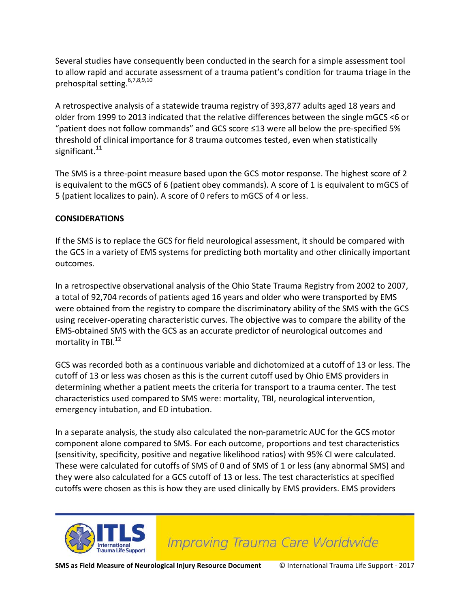Several studies have consequently been conducted in the search for a simple assessment tool to allow rapid and accurate assessment of a trauma patient's condition for trauma triage in the prehospital setting.6,7,8,9,10

A retrospective analysis of a statewide trauma registry of 393,877 adults aged 18 years and older from 1999 to 2013 indicated that the relative differences between the single mGCS <6 or "patient does not follow commands" and GCS score ≤13 were all below the pre-specified 5% threshold of clinical importance for 8 trauma outcomes tested, even when statistically significant.<sup>11</sup>

The SMS is a three-point measure based upon the GCS motor response. The highest score of 2 is equivalent to the mGCS of 6 (patient obey commands). A score of 1 is equivalent to mGCS of 5 (patient localizes to pain). A score of 0 refers to mGCS of 4 or less.

## **CONSIDERATIONS**

If the SMS is to replace the GCS for field neurological assessment, it should be compared with the GCS in a variety of EMS systems for predicting both mortality and other clinically important outcomes.

In a retrospective observational analysis of the Ohio State Trauma Registry from 2002 to 2007, a total of 92,704 records of patients aged 16 years and older who were transported by EMS were obtained from the registry to compare the discriminatory ability of the SMS with the GCS using receiver-operating characteristic curves. The objective was to compare the ability of the EMS-obtained SMS with the GCS as an accurate predictor of neurological outcomes and mortality in TBI.<sup>12</sup>

GCS was recorded both as a continuous variable and dichotomized at a cutoff of 13 or less. The cutoff of 13 or less was chosen as this is the current cutoff used by Ohio EMS providers in determining whether a patient meets the criteria for transport to a trauma center. The test characteristics used compared to SMS were: mortality, TBI, neurological intervention, emergency intubation, and ED intubation.

In a separate analysis, the study also calculated the non-parametric AUC for the GCS motor component alone compared to SMS. For each outcome, proportions and test characteristics (sensitivity, specificity, positive and negative likelihood ratios) with 95% CI were calculated. These were calculated for cutoffs of SMS of 0 and of SMS of 1 or less (any abnormal SMS) and they were also calculated for a GCS cutoff of 13 or less. The test characteristics at specified cutoffs were chosen as this is how they are used clinically by EMS providers. EMS providers



**Improving Trauma Care Worldwide**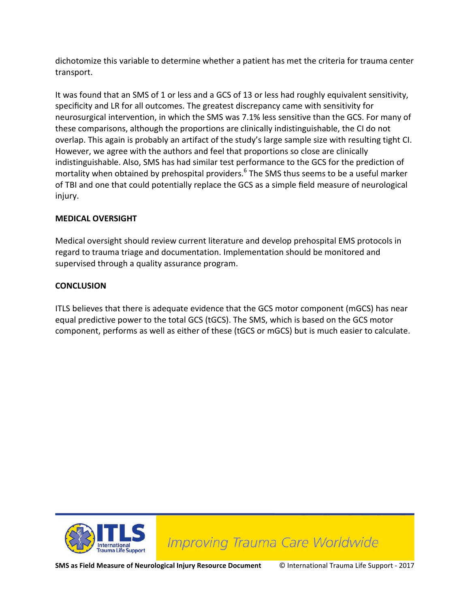dichotomize this variable to determine whether a patient has met the criteria for trauma center transport.

It was found that an SMS of 1 or less and a GCS of 13 or less had roughly equivalent sensitivity, specificity and LR for all outcomes. The greatest discrepancy came with sensitivity for neurosurgical intervention, in which the SMS was 7.1% less sensitive than the GCS. For many of these comparisons, although the proportions are clinically indistinguishable, the CI do not overlap. This again is probably an artifact of the study's large sample size with resulting tight CI. However, we agree with the authors and feel that proportions so close are clinically indistinguishable. Also, SMS has had similar test performance to the GCS for the prediction of mortality when obtained by prehospital providers.<sup>6</sup> The SMS thus seems to be a useful marker of TBI and one that could potentially replace the GCS as a simple field measure of neurological injury.

# **MEDICAL OVERSIGHT**

Medical oversight should review current literature and develop prehospital EMS protocols in regard to trauma triage and documentation. Implementation should be monitored and supervised through a quality assurance program.

# **CONCLUSION**

ITLS believes that there is adequate evidence that the GCS motor component (mGCS) has near equal predictive power to the total GCS (tGCS). The SMS, which is based on the GCS motor component, performs as well as either of these (tGCS or mGCS) but is much easier to calculate.



**SMS as Field Measure of Neurological Injury Resource Document** © International Trauma Life Support - 2017

**Improving Trauma Care Worldwide**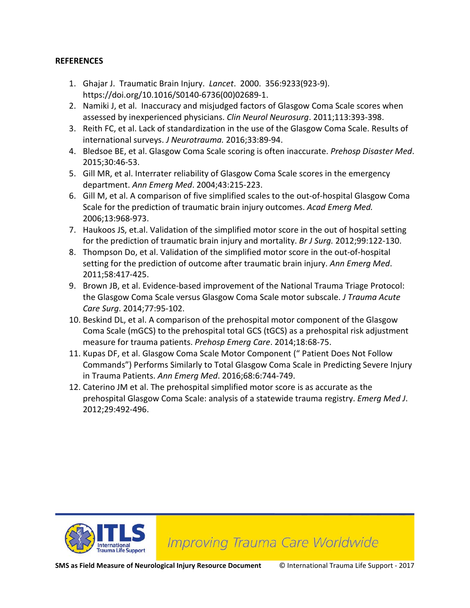#### **REFERENCES**

- 1. Ghajar J. Traumatic Brain Injury. *Lancet*. 2000. 356:9233(923-9). https://doi.org/10.1016/S0140-6736(00)02689-1.
- 2. Namiki J, et al. Inaccuracy and misjudged factors of Glasgow Coma Scale scores when assessed by inexperienced physicians. *Clin Neurol Neurosurg*. 2011;113:393-398.
- 3. Reith FC, et al. Lack of standardization in the use of the Glasgow Coma Scale. Results of international surveys. *J Neurotrauma.* 2016;33:89-94.
- 4. Bledsoe BE, et al. Glasgow Coma Scale scoring is often inaccurate. *Prehosp Disaster Med*. 2015;30:46-53.
- 5. Gill MR, et al. Interrater reliability of Glasgow Coma Scale scores in the emergency department. *Ann Emerg Med*. 2004;43:215-223.
- 6. Gill M, et al. A comparison of five simplified scales to the out-of-hospital Glasgow Coma Scale for the prediction of traumatic brain injury outcomes. *Acad Emerg Med.* 2006;13:968-973.
- 7. Haukoos JS, et.al. Validation of the simplified motor score in the out of hospital setting for the prediction of traumatic brain injury and mortality. *Br J Surg.* 2012;99:122-130.
- 8. Thompson Do, et al. Validation of the simplified motor score in the out-of-hospital setting for the prediction of outcome after traumatic brain injury. *Ann Emerg Med*. 2011;58:417-425.
- 9. Brown JB, et al. Evidence-based improvement of the National Trauma Triage Protocol: the Glasgow Coma Scale versus Glasgow Coma Scale motor subscale. *J Trauma Acute Care Surg*. 2014;77:95-102.
- 10. Beskind DL, et al. A comparison of the prehospital motor component of the Glasgow Coma Scale (mGCS) to the prehospital total GCS (tGCS) as a prehospital risk adjustment measure for trauma patients. *Prehosp Emerg Care*. 2014;18:68-75.
- 11. Kupas DF, et al. Glasgow Coma Scale Motor Component (" Patient Does Not Follow Commands") Performs Similarly to Total Glasgow Coma Scale in Predicting Severe Injury in Trauma Patients. *Ann Emerg Med*. 2016;68:6:744-749.
- 12. Caterino JM et al. The prehospital simplified motor score is as accurate as the prehospital Glasgow Coma Scale: analysis of a statewide trauma registry. *Emerg Med J*. 2012;29:492-496.



**Improving Trauma Care Worldwide**